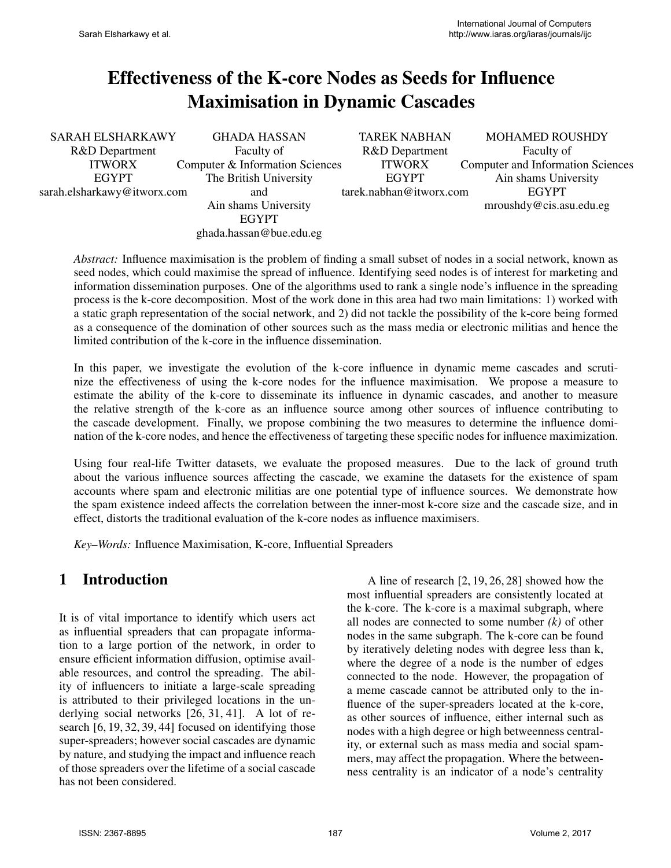# Effectiveness of the K-core Nodes as Seeds for Influence Maximisation in Dynamic Cascades

| SARAH ELSHARKAWY             | <b>GHADA HASSAN</b>             | <b>TAREK NABHAN</b>     | <b>MOHAMED ROUSHDY</b>                   |
|------------------------------|---------------------------------|-------------------------|------------------------------------------|
| R&D Department<br>Faculty of |                                 | R&D Department          | Faculty of                               |
| <b>ITWORX</b>                | Computer & Information Sciences | <b>ITWORX</b>           | <b>Computer and Information Sciences</b> |
| <b>EGYPT</b>                 | The British University          | <b>EGYPT</b>            | Ain shams University                     |
| sarah.elsharkawy@itworx.com  | and                             | tarek.nabhan@itworx.com | <b>EGYPT</b>                             |
|                              | Ain shams University            |                         | mroushdy@cis. as u.edu. eg               |
|                              | <b>EGYPT</b>                    |                         |                                          |
|                              | ghada.hassan@bue.edu.eg         |                         |                                          |

*Abstract:* Influence maximisation is the problem of finding a small subset of nodes in a social network, known as seed nodes, which could maximise the spread of influence. Identifying seed nodes is of interest for marketing and information dissemination purposes. One of the algorithms used to rank a single node's influence in the spreading process is the k-core decomposition. Most of the work done in this area had two main limitations: 1) worked with a static graph representation of the social network, and 2) did not tackle the possibility of the k-core being formed as a consequence of the domination of other sources such as the mass media or electronic militias and hence the limited contribution of the k-core in the influence dissemination.

In this paper, we investigate the evolution of the k-core influence in dynamic meme cascades and scrutinize the effectiveness of using the k-core nodes for the influence maximisation. We propose a measure to estimate the ability of the k-core to disseminate its influence in dynamic cascades, and another to measure the relative strength of the k-core as an influence source among other sources of influence contributing to the cascade development. Finally, we propose combining the two measures to determine the influence domination of the k-core nodes, and hence the effectiveness of targeting these specific nodes for influence maximization.

Using four real-life Twitter datasets, we evaluate the proposed measures. Due to the lack of ground truth about the various influence sources affecting the cascade, we examine the datasets for the existence of spam accounts where spam and electronic militias are one potential type of influence sources. We demonstrate how the spam existence indeed affects the correlation between the inner-most k-core size and the cascade size, and in effect, distorts the traditional evaluation of the k-core nodes as influence maximisers.

*Key–Words:* Influence Maximisation, K-core, Influential Spreaders

### 1 Introduction

It is of vital importance to identify which users act as influential spreaders that can propagate information to a large portion of the network, in order to ensure efficient information diffusion, optimise available resources, and control the spreading. The ability of influencers to initiate a large-scale spreading is attributed to their privileged locations in the underlying social networks [26, 31, 41]. A lot of research [6, 19, 32, 39, 44] focused on identifying those super-spreaders; however social cascades are dynamic by nature, and studying the impact and influence reach of those spreaders over the lifetime of a social cascade has not been considered.

A line of research [2, 19, 26, 28] showed how the most influential spreaders are consistently located at the k-core. The k-core is a maximal subgraph, where all nodes are connected to some number *(k)* of other nodes in the same subgraph. The k-core can be found by iteratively deleting nodes with degree less than k, where the degree of a node is the number of edges connected to the node. However, the propagation of a meme cascade cannot be attributed only to the influence of the super-spreaders located at the k-core, as other sources of influence, either internal such as nodes with a high degree or high betweenness centrality, or external such as mass media and social spammers, may affect the propagation. Where the betweenness centrality is an indicator of a node's centrality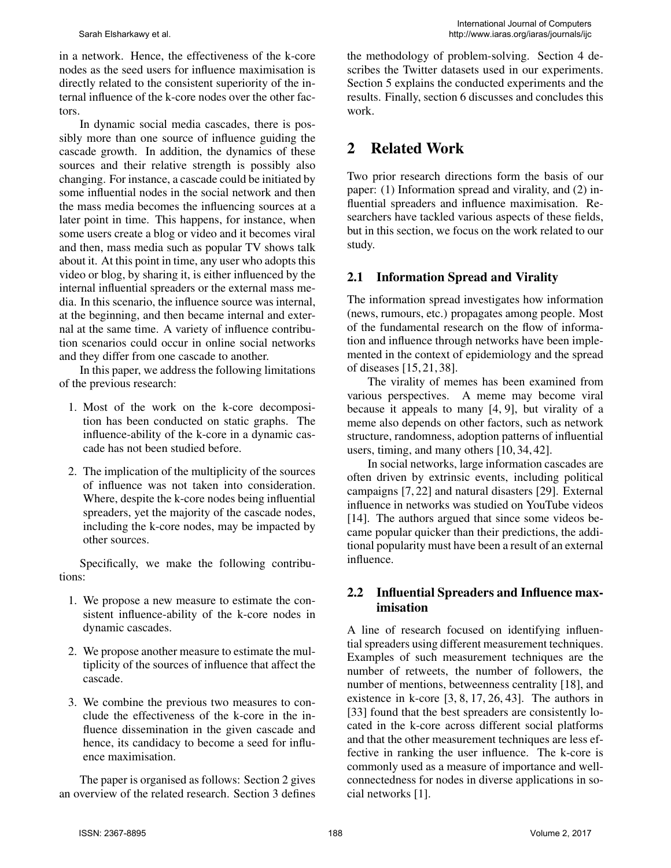in a network. Hence, the effectiveness of the k-core nodes as the seed users for influence maximisation is directly related to the consistent superiority of the internal influence of the k-core nodes over the other factors.

In dynamic social media cascades, there is possibly more than one source of influence guiding the cascade growth. In addition, the dynamics of these sources and their relative strength is possibly also changing. For instance, a cascade could be initiated by some influential nodes in the social network and then the mass media becomes the influencing sources at a later point in time. This happens, for instance, when some users create a blog or video and it becomes viral and then, mass media such as popular TV shows talk about it. At this point in time, any user who adopts this video or blog, by sharing it, is either influenced by the internal influential spreaders or the external mass media. In this scenario, the influence source was internal, at the beginning, and then became internal and external at the same time. A variety of influence contribution scenarios could occur in online social networks and they differ from one cascade to another.

In this paper, we address the following limitations of the previous research:

- 1. Most of the work on the k-core decomposition has been conducted on static graphs. The influence-ability of the k-core in a dynamic cascade has not been studied before.
- 2. The implication of the multiplicity of the sources of influence was not taken into consideration. Where, despite the k-core nodes being influential spreaders, yet the majority of the cascade nodes, including the k-core nodes, may be impacted by other sources.

Specifically, we make the following contributions:

- 1. We propose a new measure to estimate the consistent influence-ability of the k-core nodes in dynamic cascades.
- 2. We propose another measure to estimate the multiplicity of the sources of influence that affect the cascade.
- 3. We combine the previous two measures to conclude the effectiveness of the k-core in the influence dissemination in the given cascade and hence, its candidacy to become a seed for influence maximisation.

The paper is organised as follows: Section 2 gives an overview of the related research. Section 3 defines the methodology of problem-solving. Section 4 describes the Twitter datasets used in our experiments. Section 5 explains the conducted experiments and the results. Finally, section 6 discusses and concludes this work.

# 2 Related Work

Two prior research directions form the basis of our paper: (1) Information spread and virality, and (2) influential spreaders and influence maximisation. Researchers have tackled various aspects of these fields, but in this section, we focus on the work related to our study.

#### 2.1 Information Spread and Virality

The information spread investigates how information (news, rumours, etc.) propagates among people. Most of the fundamental research on the flow of information and influence through networks have been implemented in the context of epidemiology and the spread of diseases [15, 21, 38].

The virality of memes has been examined from various perspectives. A meme may become viral because it appeals to many [4, 9], but virality of a meme also depends on other factors, such as network structure, randomness, adoption patterns of influential users, timing, and many others [10, 34, 42].

In social networks, large information cascades are often driven by extrinsic events, including political campaigns [7, 22] and natural disasters [29]. External influence in networks was studied on YouTube videos [14]. The authors argued that since some videos became popular quicker than their predictions, the additional popularity must have been a result of an external influence.

#### 2.2 Influential Spreaders and Influence maximisation

A line of research focused on identifying influential spreaders using different measurement techniques. Examples of such measurement techniques are the number of retweets, the number of followers, the number of mentions, betweenness centrality [18], and existence in k-core [3, 8, 17, 26, 43]. The authors in [33] found that the best spreaders are consistently located in the k-core across different social platforms and that the other measurement techniques are less effective in ranking the user influence. The k-core is commonly used as a measure of importance and wellconnectedness for nodes in diverse applications in social networks [1].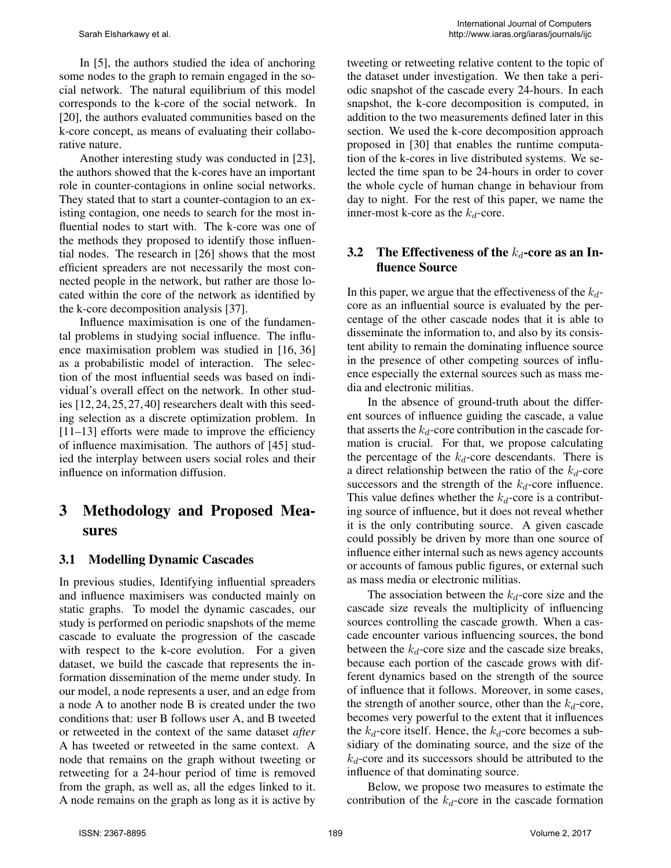In [5], the authors studied the idea of anchoring some nodes to the graph to remain engaged in the social network. The natural equilibrium of this model corresponds to the k-core of the social network. In [20], the authors evaluated communities based on the k-core concept, as means of evaluating their collaborative nature.

Another interesting study was conducted in [23], the authors showed that the k-cores have an important role in counter-contagions in online social networks. They stated that to start a counter-contagion to an existing contagion, one needs to search for the most influential nodes to start with. The k-core was one of the methods they proposed to identify those influential nodes. The research in [26] shows that the most efficient spreaders are not necessarily the most connected people in the network, but rather are those located within the core of the network as identified by the k-core decomposition analysis [37].

Influence maximisation is one of the fundamental problems in studying social influence. The influence maximisation problem was studied in [16, 36] as a probabilistic model of interaction. The selection of the most influential seeds was based on individual's overall effect on the network. In other studies [12, 24, 25, 27, 40] researchers dealt with this seeding selection as a discrete optimization problem. In [11–13] efforts were made to improve the efficiency of influence maximisation. The authors of [45] studied the interplay between users social roles and their influence on information diffusion.

# 3 Methodology and Proposed Measures

#### 3.1 Modelling Dynamic Cascades

In previous studies, Identifying influential spreaders and influence maximisers was conducted mainly on static graphs. To model the dynamic cascades, our study is performed on periodic snapshots of the meme cascade to evaluate the progression of the cascade with respect to the k-core evolution. For a given dataset, we build the cascade that represents the information dissemination of the meme under study. In our model, a node represents a user, and an edge from a node A to another node B is created under the two conditions that: user B follows user A, and B tweeted or retweeted in the context of the same dataset *after* A has tweeted or retweeted in the same context. A node that remains on the graph without tweeting or retweeting for a 24-hour period of time is removed from the graph, as well as, all the edges linked to it. A node remains on the graph as long as it is active by

tweeting or retweeting relative content to the topic of the dataset under investigation. We then take a periodic snapshot of the cascade every 24-hours. In each snapshot, the k-core decomposition is computed, in addition to the two measurements defined later in this section. We used the k-core decomposition approach proposed in [30] that enables the runtime computation of the k-cores in live distributed systems. We selected the time span to be 24-hours in order to cover the whole cycle of human change in behaviour from day to night. For the rest of this paper, we name the inner-most k-core as the  $k_d$ -core.

#### 3.2 The Effectiveness of the  $k_d$ -core as an Influence Source

In this paper, we argue that the effectiveness of the  $k_d$ core as an influential source is evaluated by the percentage of the other cascade nodes that it is able to disseminate the information to, and also by its consistent ability to remain the dominating influence source in the presence of other competing sources of influence especially the external sources such as mass media and electronic militias.

In the absence of ground-truth about the different sources of influence guiding the cascade, a value that asserts the  $k_d$ -core contribution in the cascade formation is crucial. For that, we propose calculating the percentage of the  $k_d$ -core descendants. There is a direct relationship between the ratio of the  $k_d$ -core successors and the strength of the  $k_d$ -core influence. This value defines whether the  $k_d$ -core is a contributing source of influence, but it does not reveal whether it is the only contributing source. A given cascade could possibly be driven by more than one source of influence either internal such as news agency accounts or accounts of famous public figures, or external such as mass media or electronic militias.

The association between the  $k_d$ -core size and the cascade size reveals the multiplicity of influencing sources controlling the cascade growth. When a cascade encounter various influencing sources, the bond between the  $k_d$ -core size and the cascade size breaks, because each portion of the cascade grows with different dynamics based on the strength of the source of influence that it follows. Moreover, in some cases, the strength of another source, other than the  $k_d$ -core, becomes very powerful to the extent that it influences the  $k_d$ -core itself. Hence, the  $k_d$ -core becomes a subsidiary of the dominating source, and the size of the  $k_d$ -core and its successors should be attributed to the influence of that dominating source.

Below, we propose two measures to estimate the contribution of the  $k_d$ -core in the cascade formation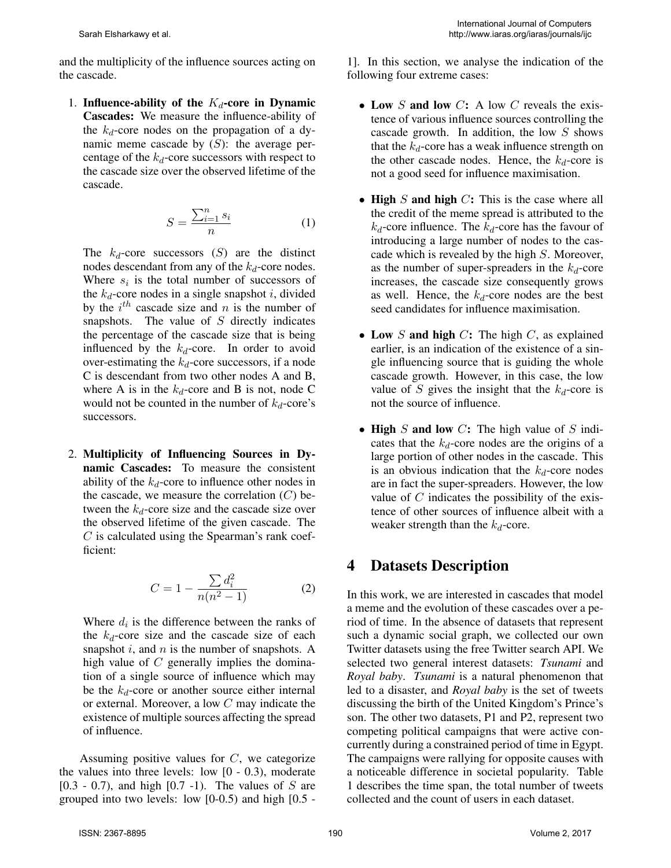and the multiplicity of the influence sources acting on the cascade.

1. Influence-ability of the  $K_d$ -core in Dynamic Cascades: We measure the influence-ability of the  $k_d$ -core nodes on the propagation of a dynamic meme cascade by  $(S)$ : the average percentage of the  $k_d$ -core successors with respect to the cascade size over the observed lifetime of the cascade.

$$
S = \frac{\sum_{i=1}^{n} s_i}{n} \tag{1}
$$

The  $k_d$ -core successors  $(S)$  are the distinct nodes descendant from any of the  $k_d$ -core nodes. Where  $s_i$  is the total number of successors of the  $k_d$ -core nodes in a single snapshot i, divided by the  $i^{th}$  cascade size and n is the number of snapshots. The value of  $S$  directly indicates the percentage of the cascade size that is being influenced by the  $k_d$ -core. In order to avoid over-estimating the  $k_d$ -core successors, if a node C is descendant from two other nodes A and B, where A is in the  $k_d$ -core and B is not, node C would not be counted in the number of  $k_d$ -core's successors.

2. Multiplicity of Influencing Sources in Dynamic Cascades: To measure the consistent ability of the  $k_d$ -core to influence other nodes in the cascade, we measure the correlation  $(C)$  between the  $k_d$ -core size and the cascade size over the observed lifetime of the given cascade. The  $C$  is calculated using the Spearman's rank coefficient:

$$
C = 1 - \frac{\sum d_i^2}{n(n^2 - 1)}
$$
 (2)

Where  $d_i$  is the difference between the ranks of the  $k_d$ -core size and the cascade size of each snapshot  $i$ , and  $n$  is the number of snapshots. A high value of  $C$  generally implies the domination of a single source of influence which may be the  $k_d$ -core or another source either internal or external. Moreover, a low C may indicate the existence of multiple sources affecting the spread of influence.

Assuming positive values for  $C$ , we categorize the values into three levels: low [0 - 0.3), moderate  $[0.3 - 0.7)$ , and high  $[0.7 -1)$ . The values of S are grouped into two levels: low  $[0-0.5)$  and high  $[0.5 -$ 

1]. In this section, we analyse the indication of the following four extreme cases:

- Low  $S$  and low  $C: A$  low  $C$  reveals the existence of various influence sources controlling the cascade growth. In addition, the low  $S$  shows that the  $k_d$ -core has a weak influence strength on the other cascade nodes. Hence, the  $k_d$ -core is not a good seed for influence maximisation.
- High  $S$  and high  $C$ : This is the case where all the credit of the meme spread is attributed to the  $k_d$ -core influence. The  $k_d$ -core has the favour of introducing a large number of nodes to the cascade which is revealed by the high S. Moreover, as the number of super-spreaders in the  $k_d$ -core increases, the cascade size consequently grows as well. Hence, the  $k_d$ -core nodes are the best seed candidates for influence maximisation.
- Low S and high  $C$ : The high  $C$ , as explained earlier, is an indication of the existence of a single influencing source that is guiding the whole cascade growth. However, in this case, the low value of S gives the insight that the  $k_d$ -core is not the source of influence.
- High S and low C: The high value of S indicates that the  $k_d$ -core nodes are the origins of a large portion of other nodes in the cascade. This is an obvious indication that the  $k_d$ -core nodes are in fact the super-spreaders. However, the low value of  $C$  indicates the possibility of the existence of other sources of influence albeit with a weaker strength than the  $k_d$ -core.

### 4 Datasets Description

In this work, we are interested in cascades that model a meme and the evolution of these cascades over a period of time. In the absence of datasets that represent such a dynamic social graph, we collected our own Twitter datasets using the free Twitter search API. We selected two general interest datasets: *Tsunami* and *Royal baby*. *Tsunami* is a natural phenomenon that led to a disaster, and *Royal baby* is the set of tweets discussing the birth of the United Kingdom's Prince's son. The other two datasets, P1 and P2, represent two competing political campaigns that were active concurrently during a constrained period of time in Egypt. The campaigns were rallying for opposite causes with a noticeable difference in societal popularity. Table 1 describes the time span, the total number of tweets collected and the count of users in each dataset.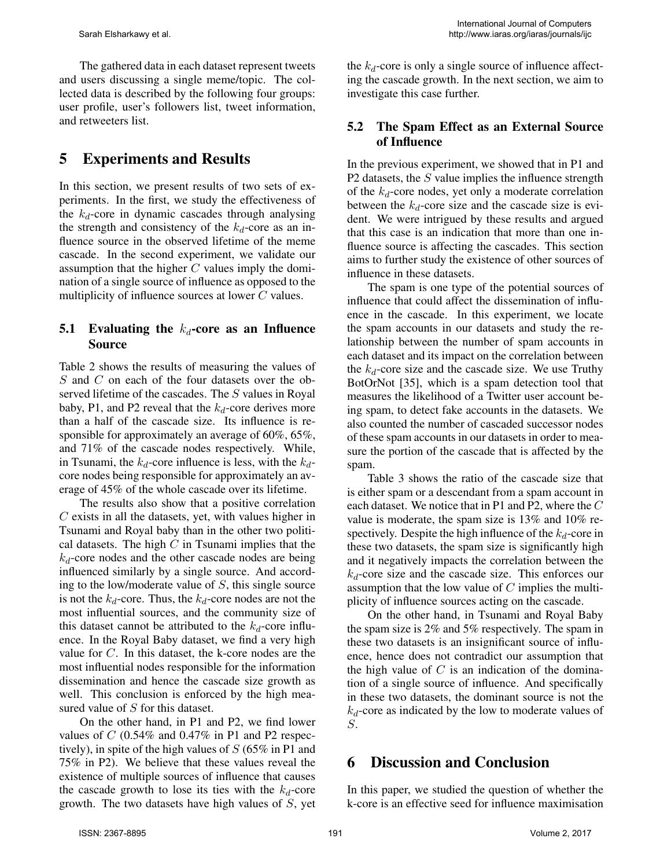The gathered data in each dataset represent tweets and users discussing a single meme/topic. The collected data is described by the following four groups: user profile, user's followers list, tweet information, and retweeters list.

### 5 Experiments and Results

In this section, we present results of two sets of experiments. In the first, we study the effectiveness of the  $k_d$ -core in dynamic cascades through analysing the strength and consistency of the  $k_d$ -core as an influence source in the observed lifetime of the meme cascade. In the second experiment, we validate our assumption that the higher  $C$  values imply the domination of a single source of influence as opposed to the multiplicity of influence sources at lower C values.

#### 5.1 Evaluating the  $k_d$ -core as an Influence Source

Table 2 shows the results of measuring the values of S and C on each of the four datasets over the observed lifetime of the cascades. The S values in Royal baby, P1, and P2 reveal that the  $k_d$ -core derives more than a half of the cascade size. Its influence is responsible for approximately an average of 60%, 65%, and 71% of the cascade nodes respectively. While, in Tsunami, the  $k_d$ -core influence is less, with the  $k_d$ core nodes being responsible for approximately an average of 45% of the whole cascade over its lifetime.

The results also show that a positive correlation C exists in all the datasets, yet, with values higher in Tsunami and Royal baby than in the other two political datasets. The high  $C$  in Tsunami implies that the  $k_d$ -core nodes and the other cascade nodes are being influenced similarly by a single source. And according to the low/moderate value of S, this single source is not the  $k_d$ -core. Thus, the  $k_d$ -core nodes are not the most influential sources, and the community size of this dataset cannot be attributed to the  $k_d$ -core influence. In the Royal Baby dataset, we find a very high value for C. In this dataset, the k-core nodes are the most influential nodes responsible for the information dissemination and hence the cascade size growth as well. This conclusion is enforced by the high measured value of S for this dataset.

On the other hand, in P1 and P2, we find lower values of  $C$  (0.54% and 0.47% in P1 and P2 respectively), in spite of the high values of  $S$  (65% in P1 and 75% in P2). We believe that these values reveal the existence of multiple sources of influence that causes the cascade growth to lose its ties with the  $k_d$ -core growth. The two datasets have high values of S, yet

the  $k_d$ -core is only a single source of influence affecting the cascade growth. In the next section, we aim to investigate this case further.

#### 5.2 The Spam Effect as an External Source of Influence

In the previous experiment, we showed that in P1 and P2 datasets, the S value implies the influence strength of the  $k_d$ -core nodes, yet only a moderate correlation between the  $k_d$ -core size and the cascade size is evident. We were intrigued by these results and argued that this case is an indication that more than one influence source is affecting the cascades. This section aims to further study the existence of other sources of influence in these datasets.

The spam is one type of the potential sources of influence that could affect the dissemination of influence in the cascade. In this experiment, we locate the spam accounts in our datasets and study the relationship between the number of spam accounts in each dataset and its impact on the correlation between the  $k_d$ -core size and the cascade size. We use Truthy BotOrNot [35], which is a spam detection tool that measures the likelihood of a Twitter user account being spam, to detect fake accounts in the datasets. We also counted the number of cascaded successor nodes of these spam accounts in our datasets in order to measure the portion of the cascade that is affected by the spam.

Table 3 shows the ratio of the cascade size that is either spam or a descendant from a spam account in each dataset. We notice that in P1 and P2, where the C value is moderate, the spam size is 13% and 10% respectively. Despite the high influence of the  $k_d$ -core in these two datasets, the spam size is significantly high and it negatively impacts the correlation between the  $k_d$ -core size and the cascade size. This enforces our assumption that the low value of  $C$  implies the multiplicity of influence sources acting on the cascade.

On the other hand, in Tsunami and Royal Baby the spam size is 2% and 5% respectively. The spam in these two datasets is an insignificant source of influence, hence does not contradict our assumption that the high value of  $C$  is an indication of the domination of a single source of influence. And specifically in these two datasets, the dominant source is not the  $k_d$ -core as indicated by the low to moderate values of S.

#### 6 Discussion and Conclusion

In this paper, we studied the question of whether the k-core is an effective seed for influence maximisation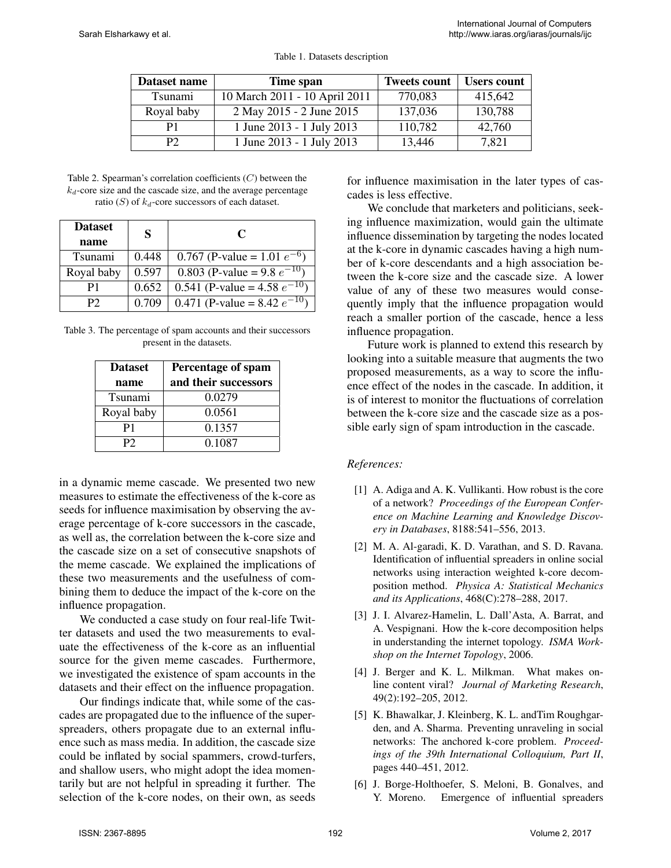| Dataset name | Time span                     | <b>Tweets count</b> | <b>Users count</b> |
|--------------|-------------------------------|---------------------|--------------------|
| Tsunami      | 10 March 2011 - 10 April 2011 | 770,083             | 415,642            |
| Royal baby   | 2 May 2015 - 2 June 2015      | 137,036             | 130,788            |
| P1           | 1 June 2013 - 1 July 2013     | 110,782             | 42,760             |
| P2           | 1 June 2013 - 1 July 2013     | 13,446              | 7,821              |

Table 1. Datasets description

Table 2. Spearman's correlation coefficients (C) between the  $k_d$ -core size and the cascade size, and the average percentage ratio (S) of  $k_d$ -core successors of each dataset.

| <b>Dataset</b> | S     | C                                 |
|----------------|-------|-----------------------------------|
| name           |       |                                   |
| Tsunami        | 0.448 | 0.767 (P-value = 1.01 $e^{-6}$ )  |
| Royal baby     | 0.597 | 0.803 (P-value = 9.8 $e^{-10}$ )  |
| P1             | 0.652 | 0.541 (P-value = 4.58 $e^{-10}$ ) |
| Р2             | 0.709 | 0.471 (P-value = 8.42 $e^{-10}$ ) |

Table 3. The percentage of spam accounts and their successors present in the datasets.

| <b>Dataset</b> | Percentage of spam   |  |
|----------------|----------------------|--|
| name           | and their successors |  |
| Tsunami        | 0.0279               |  |
| Royal baby     | 0.0561               |  |
| P1             | 0.1357               |  |
| P2             | 0.1087               |  |

in a dynamic meme cascade. We presented two new measures to estimate the effectiveness of the k-core as seeds for influence maximisation by observing the average percentage of k-core successors in the cascade, as well as, the correlation between the k-core size and the cascade size on a set of consecutive snapshots of the meme cascade. We explained the implications of these two measurements and the usefulness of combining them to deduce the impact of the k-core on the influence propagation.

We conducted a case study on four real-life Twitter datasets and used the two measurements to evaluate the effectiveness of the k-core as an influential source for the given meme cascades. Furthermore, we investigated the existence of spam accounts in the datasets and their effect on the influence propagation.

Our findings indicate that, while some of the cascades are propagated due to the influence of the superspreaders, others propagate due to an external influence such as mass media. In addition, the cascade size could be inflated by social spammers, crowd-turfers, and shallow users, who might adopt the idea momentarily but are not helpful in spreading it further. The selection of the k-core nodes, on their own, as seeds for influence maximisation in the later types of cascades is less effective.

We conclude that marketers and politicians, seeking influence maximization, would gain the ultimate influence dissemination by targeting the nodes located at the k-core in dynamic cascades having a high number of k-core descendants and a high association between the k-core size and the cascade size. A lower value of any of these two measures would consequently imply that the influence propagation would reach a smaller portion of the cascade, hence a less influence propagation.

Future work is planned to extend this research by looking into a suitable measure that augments the two proposed measurements, as a way to score the influence effect of the nodes in the cascade. In addition, it is of interest to monitor the fluctuations of correlation between the k-core size and the cascade size as a possible early sign of spam introduction in the cascade.

#### *References:*

- [1] A. Adiga and A. K. Vullikanti. How robust is the core of a network? *Proceedings of the European Conference on Machine Learning and Knowledge Discovery in Databases*, 8188:541–556, 2013.
- [2] M. A. Al-garadi, K. D. Varathan, and S. D. Ravana. Identification of influential spreaders in online social networks using interaction weighted k-core decomposition method. *Physica A: Statistical Mechanics and its Applications*, 468(C):278–288, 2017.
- [3] J. I. Alvarez-Hamelin, L. Dall'Asta, A. Barrat, and A. Vespignani. How the k-core decomposition helps in understanding the internet topology. *ISMA Workshop on the Internet Topology*, 2006.
- [4] J. Berger and K. L. Milkman. What makes online content viral? *Journal of Marketing Research*, 49(2):192–205, 2012.
- [5] K. Bhawalkar, J. Kleinberg, K. L. andTim Roughgarden, and A. Sharma. Preventing unraveling in social networks: The anchored k-core problem. *Proceedings of the 39th International Colloquium, Part II*, pages 440–451, 2012.
- [6] J. Borge-Holthoefer, S. Meloni, B. Gonalves, and Y. Moreno. Emergence of influential spreaders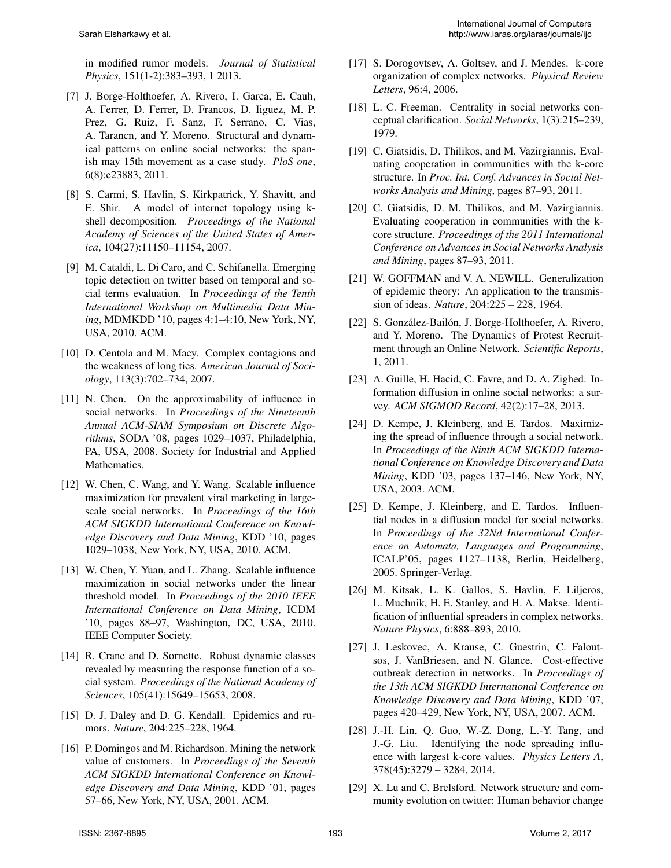in modified rumor models. *Journal of Statistical Physics*, 151(1-2):383–393, 1 2013.

- [7] J. Borge-Holthoefer, A. Rivero, I. Garca, E. Cauh, A. Ferrer, D. Ferrer, D. Francos, D. Iiguez, M. P. Prez, G. Ruiz, F. Sanz, F. Serrano, C. Vias, A. Tarancn, and Y. Moreno. Structural and dynamical patterns on online social networks: the spanish may 15th movement as a case study. *PloS one*, 6(8):e23883, 2011.
- [8] S. Carmi, S. Havlin, S. Kirkpatrick, Y. Shavitt, and E. Shir. A model of internet topology using kshell decomposition. *Proceedings of the National Academy of Sciences of the United States of America*, 104(27):11150–11154, 2007.
- [9] M. Cataldi, L. Di Caro, and C. Schifanella. Emerging topic detection on twitter based on temporal and social terms evaluation. In *Proceedings of the Tenth International Workshop on Multimedia Data Mining*, MDMKDD '10, pages 4:1–4:10, New York, NY, USA, 2010. ACM.
- [10] D. Centola and M. Macy. Complex contagions and the weakness of long ties. *American Journal of Sociology*, 113(3):702–734, 2007.
- [11] N. Chen. On the approximability of influence in social networks. In *Proceedings of the Nineteenth Annual ACM-SIAM Symposium on Discrete Algorithms*, SODA '08, pages 1029–1037, Philadelphia, PA, USA, 2008. Society for Industrial and Applied Mathematics.
- [12] W. Chen, C. Wang, and Y. Wang. Scalable influence maximization for prevalent viral marketing in largescale social networks. In *Proceedings of the 16th ACM SIGKDD International Conference on Knowledge Discovery and Data Mining*, KDD '10, pages 1029–1038, New York, NY, USA, 2010. ACM.
- [13] W. Chen, Y. Yuan, and L. Zhang. Scalable influence maximization in social networks under the linear threshold model. In *Proceedings of the 2010 IEEE International Conference on Data Mining*, ICDM '10, pages 88–97, Washington, DC, USA, 2010. IEEE Computer Society.
- [14] R. Crane and D. Sornette. Robust dynamic classes revealed by measuring the response function of a social system. *Proceedings of the National Academy of Sciences*, 105(41):15649–15653, 2008.
- [15] D. J. Daley and D. G. Kendall. Epidemics and rumors. *Nature*, 204:225–228, 1964.
- [16] P. Domingos and M. Richardson. Mining the network value of customers. In *Proceedings of the Seventh ACM SIGKDD International Conference on Knowledge Discovery and Data Mining*, KDD '01, pages 57–66, New York, NY, USA, 2001. ACM.
- [17] S. Dorogovtsev, A. Goltsev, and J. Mendes. k-core organization of complex networks. *Physical Review Letters*, 96:4, 2006.
- [18] L. C. Freeman. Centrality in social networks conceptual clarification. *Social Networks*, 1(3):215–239, 1979.
- [19] C. Giatsidis, D. Thilikos, and M. Vazirgiannis. Evaluating cooperation in communities with the k-core structure. In *Proc. Int. Conf. Advances in Social Networks Analysis and Mining*, pages 87–93, 2011.
- [20] C. Giatsidis, D. M. Thilikos, and M. Vazirgiannis. Evaluating cooperation in communities with the kcore structure. *Proceedings of the 2011 International Conference on Advances in Social Networks Analysis and Mining*, pages 87–93, 2011.
- [21] W. GOFFMAN and V. A. NEWILL. Generalization of epidemic theory: An application to the transmission of ideas. *Nature*, 204:225 – 228, 1964.
- [22] S. González-Bailón, J. Borge-Holthoefer, A. Rivero, and Y. Moreno. The Dynamics of Protest Recruitment through an Online Network. *Scientific Reports*, 1, 2011.
- [23] A. Guille, H. Hacid, C. Favre, and D. A. Zighed. Information diffusion in online social networks: a survey. *ACM SIGMOD Record*, 42(2):17–28, 2013.
- [24] D. Kempe, J. Kleinberg, and E. Tardos. Maximizing the spread of influence through a social network. In *Proceedings of the Ninth ACM SIGKDD International Conference on Knowledge Discovery and Data Mining*, KDD '03, pages 137–146, New York, NY, USA, 2003. ACM.
- [25] D. Kempe, J. Kleinberg, and E. Tardos. Influential nodes in a diffusion model for social networks. In *Proceedings of the 32Nd International Conference on Automata, Languages and Programming*, ICALP'05, pages 1127–1138, Berlin, Heidelberg, 2005. Springer-Verlag.
- [26] M. Kitsak, L. K. Gallos, S. Havlin, F. Liljeros, L. Muchnik, H. E. Stanley, and H. A. Makse. Identification of influential spreaders in complex networks. *Nature Physics*, 6:888–893, 2010.
- [27] J. Leskovec, A. Krause, C. Guestrin, C. Faloutsos, J. VanBriesen, and N. Glance. Cost-effective outbreak detection in networks. In *Proceedings of the 13th ACM SIGKDD International Conference on Knowledge Discovery and Data Mining*, KDD '07, pages 420–429, New York, NY, USA, 2007. ACM.
- [28] J.-H. Lin, Q. Guo, W.-Z. Dong, L.-Y. Tang, and J.-G. Liu. Identifying the node spreading influence with largest k-core values. *Physics Letters A*, 378(45):3279 – 3284, 2014.
- [29] X. Lu and C. Brelsford. Network structure and community evolution on twitter: Human behavior change